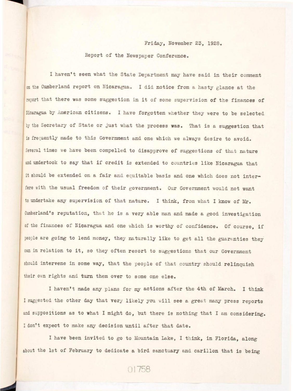## Report of the Newspaper Conference.

Friday, November 23, 1928.<br>
Report of the Newspaper Conference.<br>
I haven't seen what the State Department may have said in the Cumberland report on Nicaragua. I did notice from a hasty glas I haven't seen what the State Department may have said in their comment w the Cumberland report on Nicaragua. I did notice from a heaty glange at the report that there was some suggestion in it of some supervision of the finances of Bicaragua by American citizens. I have forgotten whether they were to be selected by the Secretary of State or just what the process was. That is a suggestion that is frequently made to this Government and one which we always desire to avoid. Several times we have been compelled to disapprove of suggestions of that nature and undertook to say that if credit is extended to countries like Nicaragua that it should be extended on a fair and equitable basis and one which does not interfere with the usual freedom of their government. Our Government would not want to undertake any supervision of that nature. I think, from what I know of Mr. of the finances of Nicaragua and one which is worthy of confidence. Of course, if people are going to lend money, they naturally like to get all the guaranties they can in relation to it, so they often resort to suggestions that our Government should intervene in some way, that the people of that country should relinquish their own rights and turn them over to some one else.

I haven't made any plans for my actions after the 4th of March. I think I suggested the other day that very likely you will see a great many press reports and suppositions as to what I might do, but there is nothing that I am considering. I don't expect to make any decision until after that date.

I have been invited to go to Mountain Lake, I think, in Florida, along about the 1st of February to dedicate a bird sanctuary and carillon that is being